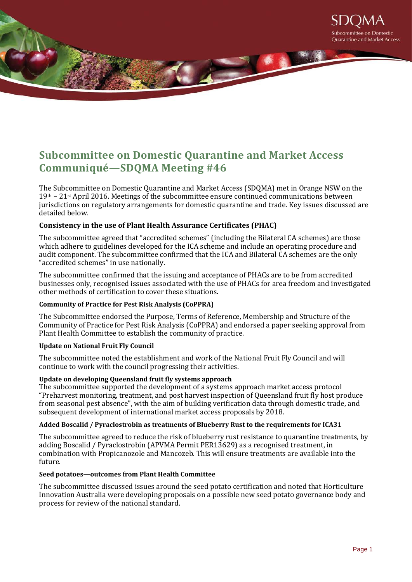

# **Subcommittee on Domestic Quarantine and Market Access Communiqué—SDQMA Meeting #46**

The Subcommittee on Domestic Quarantine and Market Access (SDQMA) met in Orange NSW on the  $19<sup>th</sup> - 21<sup>st</sup>$  April 2016. Meetings of the subcommittee ensure continued communications between jurisdictions on regulatory arrangements for domestic quarantine and trade. Key issues discussed are detailed below.

## **Consistency in the use of Plant Health Assurance Certificates (PHAC)**

The subcommittee agreed that "accredited schemes" (including the Bilateral CA schemes) are those which adhere to guidelines developed for the ICA scheme and include an operating procedure and audit component. The subcommittee confirmed that the ICA and Bilateral CA schemes are the only "accredited schemes" in use nationally.

The subcommittee confirmed that the issuing and acceptance of PHACs are to be from accredited businesses only, recognised issues associated with the use of PHACs for area freedom and investigated other methods of certification to cover these situations.

### **Community of Practice for Pest Risk Analysis (CoPPRA)**

The Subcommittee endorsed the Purpose, Terms of Reference, Membership and Structure of the Community of Practice for Pest Risk Analysis (CoPPRA) and endorsed a paper seeking approval from Plant Health Committee to establish the community of practice.

### **Update on National Fruit Fly Council**

The subcommittee noted the establishment and work of the National Fruit Fly Council and will continue to work with the council progressing their activities.

### **Update on developing Queensland fruit fly systems approach**

The subcommittee supported the development of a systems approach market access protocol "Preharvest monitoring, treatment, and post harvest inspection of Queensland fruit fly host produce from seasonal pest absence", with the aim of building verification data through domestic trade, and subsequent development of international market access proposals by 2018.

### **Added Boscalid / Pyraclostrobin as treatments of Blueberry Rust to the requirements for ICA31**

The subcommittee agreed to reduce the risk of blueberry rust resistance to quarantine treatments, by adding Boscalid / Pyraclostrobin (APVMA Permit PER13629) as a recognised treatment, in combination with Propicanozole and Mancozeb. This will ensure treatments are available into the future.

### **Seed potatoes—outcomes from Plant Health Committee**

The subcommittee discussed issues around the seed potato certification and noted that Horticulture Innovation Australia were developing proposals on a possible new seed potato governance body and process for review of the national standard.